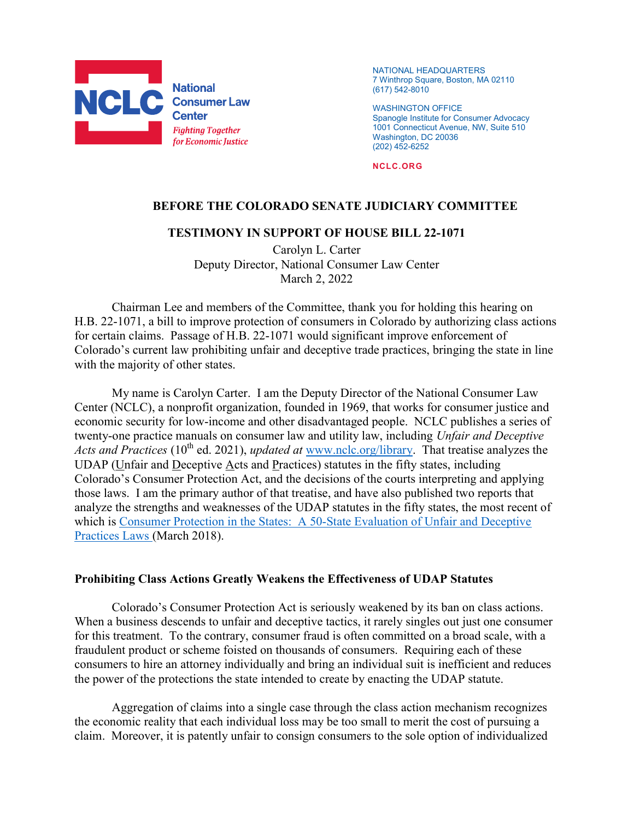

NATIONAL HEADQUARTERS 7 Winthrop Square, Boston, MA 02110 (617) 542-8010

WASHINGTON OFFICE Spanogle Institute for Consumer Advocacy 1001 Connecticut Avenue, NW, Suite 510 Washington, DC 20036 (202) 452-6252

NCLC.ORG

## BEFORE THE COLORADO SENATE JUDICIARY COMMITTEE

## TESTIMONY IN SUPPORT OF HOUSE BILL 22-1071

Carolyn L. Carter Deputy Director, National Consumer Law Center March 2, 2022

Chairman Lee and members of the Committee, thank you for holding this hearing on H.B. 22-1071, a bill to improve protection of consumers in Colorado by authorizing class actions for certain claims. Passage of H.B. 22-1071 would significant improve enforcement of Colorado's current law prohibiting unfair and deceptive trade practices, bringing the state in line with the majority of other states.

 My name is Carolyn Carter. I am the Deputy Director of the National Consumer Law Center (NCLC), a nonprofit organization, founded in 1969, that works for consumer justice and economic security for low-income and other disadvantaged people. NCLC publishes a series of twenty-one practice manuals on consumer law and utility law, including Unfair and Deceptive Acts and Practices (10<sup>th</sup> ed. 2021), updated at www.nclc.org/library. That treatise analyzes the UDAP (Unfair and Deceptive Acts and Practices) statutes in the fifty states, including Colorado's Consumer Protection Act, and the decisions of the courts interpreting and applying those laws. I am the primary author of that treatise, and have also published two reports that analyze the strengths and weaknesses of the UDAP statutes in the fifty states, the most recent of which is Consumer Protection in the States: A 50-State Evaluation of Unfair and Deceptive Practices Laws (March 2018).

## Prohibiting Class Actions Greatly Weakens the Effectiveness of UDAP Statutes

Colorado's Consumer Protection Act is seriously weakened by its ban on class actions. When a business descends to unfair and deceptive tactics, it rarely singles out just one consumer for this treatment. To the contrary, consumer fraud is often committed on a broad scale, with a fraudulent product or scheme foisted on thousands of consumers. Requiring each of these consumers to hire an attorney individually and bring an individual suit is inefficient and reduces the power of the protections the state intended to create by enacting the UDAP statute.

 Aggregation of claims into a single case through the class action mechanism recognizes the economic reality that each individual loss may be too small to merit the cost of pursuing a claim. Moreover, it is patently unfair to consign consumers to the sole option of individualized